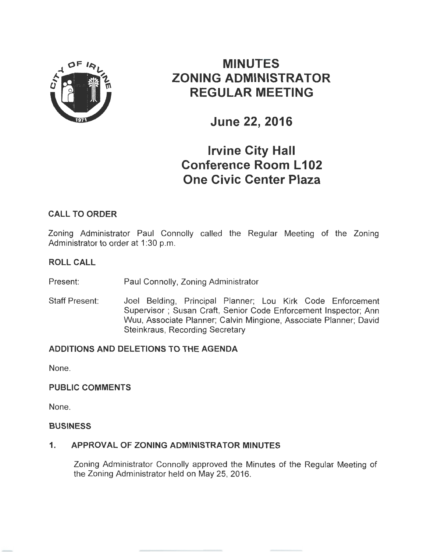

# **MINUTES ZONING ADMINISTRATOR REGULAR MEETING**

**June 22, 2016** 

# **Irvine City Hall Conference Room L 102 One Civic Center Plaza**

## **CALL TO ORDER**

Zoning Administrator Paul Connolly called the Regular Meeting of the Zoning Administrator to order at 1:30 p.m.

#### **ROLL CALL**

Present: Paul Connolly, Zoning Administrator

Staff Present: Joel Belding, Principal Planner; Lou Kirk Code Enforcement Supervisor ; Susan Craft, Senior Code Enforcement Inspector; Ann Wuu, Associate Planner; Calvin Mingione, Associate Planner; David Steinkraus, Recording Secretary

## **ADDITIONS AND DELETIONS TO THE AGENDA**

None.

## **PUBLIC COMMENTS**

None.

#### **BUSINESS**

## **1. APPROVAL OF ZONING ADMINISTRATOR MINUTES**

Zoning Administrator Connolly approved the Minutes of the Regular Meeting of the Zoning Administrator held on May 25, 2016.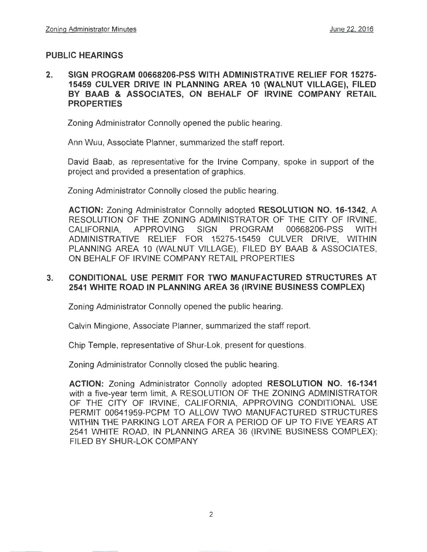## **PUBLIC HEARINGS**

### **2. SIGN PROGRAM 00668206-PSS WITH ADMINISTRATIVE RELIEF FOR 15275- 15459 CULVER DRIVE IN PLANNING AREA 10 (WALNUT VILLAGE), FILED BY BAAB & ASSOCIATES, ON BEHALF OF IRVINE COMPANY RETAIL PROPERTIES**

Zoning Administrator Connolly opened the public hearing.

Ann Wuu, Associate Planner, summarized the staff report.

David Baab, as representative for the Irvine Company, spoke in support of the project and provided a presentation of graphics.

Zoning Administrator Connolly closed the public hearing.

**ACTION:** Zoning Administrator Connolly adopted **RESOLUTION NO. 16-1342,** A RESOLUTION OF THE ZONING ADMINISTRATOR OF THE CITY OF IRVINE, CALIFORNIA, APPROVING SIGN PROGRAM 00668206-PSS WITH ADMINISTRATIVE RELIEF FOR 15275-15459 CULVER DRIVE, WITHIN PLANNING AREA 10 (WALNUT VILLAGE), FILED BY BAAB & ASSOCIATES. ON BEHALF OF IRVINE COMPANY RETAIL PROPERTIES

## **3. CONDITIONAL USE PERMIT FOR TWO MANUFACTURED STRUCTURES AT 2541 WHITE ROAD IN PLANNING AREA 36 (IRVINE BUSINESS COMPLEX)**

Zoning Administrator Connolly opened the public hearing.

Calvin Mingione, Associate Planner, summarized the staff report.

Chip Temple, representative of Shur-Lok, present for questions.

Zoning Administrator Connolly closed the public hearing.

**ACTION:** Zoning Administrator Connolly adopted **RESOLUTION NO. 16-1341**  with a five-year term limit, A RESOLUTION OF THE ZONING ADMINISTRATOR OF THE CITY OF IRVINE, CALIFORNIA, APPROVING CONDITIONAL USE PERMIT 00641959-PCPM TO ALLOW TWO MANUFACTURED STRUCTURES WITHIN THE PARKING LOT AREA FOR A PERIOD OF UP TO FIVE YEARS AT 2541 WHITE ROAD, IN PLANNING AREA 36 (IRVINE BUSINESS COMPLEX); FILED BY SHUR-LOK COMPANY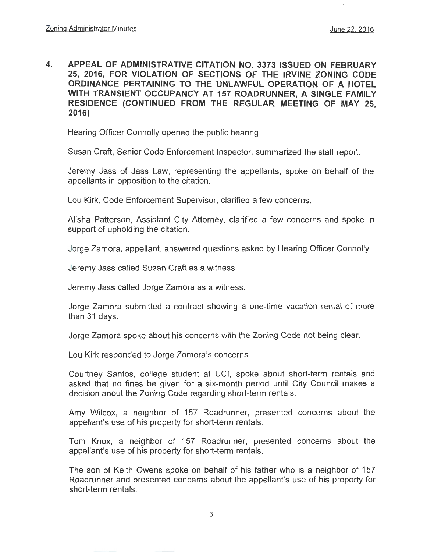**4. APPEAL OF ADMINISTRATIVE CITATION NO. 3373 ISSUED ON FEBRUARY 25, 2016, FOR VIOLATION OF SECTIONS OF THE IRVINE ZONING CODE ORDINANCE PERTAINING TO THE UNLAWFUL OPERATION OF A HOTEL WITH TRANSIENT OCCUPANCY AT 157 ROADRUNNER, A SINGLE FAMILY RESIDENCE (CONTINUED FROM THE REGULAR MEETING OF MAY 25, 2016)** 

Hearing Officer Connolly opened the public hearing.

Susan Craft, Senior Code Enforcement Inspector, summarized the staff report.

Jeremy Jass of Jass Law, representing the appellants, spoke on behalf of the appellants in opposition to the citation.

Lou Kirk, Code Enforcement Supervisor, clarified a few concerns.

Alisha Patterson, Assistant City Attorney, clarified a few concerns and spoke in support of upholding the citation.

Jorge Zamora, appellant, answered questions asked by Hearing Officer Connolly.

Jeremy Jass called Susan Craft as a witness.

Jeremy Jass called Jorge Zamora as a witness.

Jorge Zamora submitted a contract showing a one-time vacation rental of more than 31 days.

Jorge Zamora spoke about his concerns with the Zoning Code not being clear.

Lou Kirk responded to Jorge Zomora's concerns.

Courtney Santos, college student at UCI, spoke about short-term rentals and asked that no fines be given for a six-month period until City Council makes a decision about the Zoning Code regarding short-term rentals.

Amy Wilcox, a neighbor of 157 Roadrunner, presented concerns about the appellant's use of his property for short-term rentals.

Tom Knox, a neighbor of 157 Roadrunner, presented concerns about the appellant's use of his property for short-term rentals.

The son of Keith Owens spoke on behalf of his father who is a neighbor of 157 Roadrunner and presented concerns about the appellant's use of his property for short-term rentals.